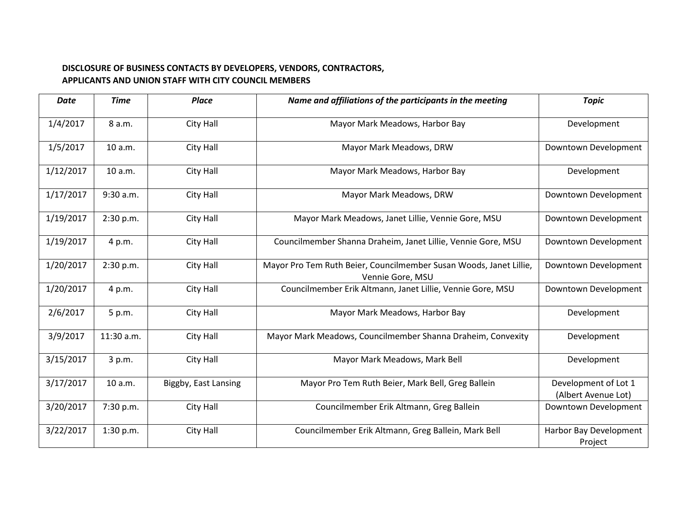## **DISCLOSURE OF BUSINESS CONTACTS BY DEVELOPERS, VENDORS, CONTRACTORS, APPLICANTS AND UNION STAFF WITH CITY COUNCIL MEMBERS**

| <b>Date</b> | <b>Time</b> | <b>Place</b>         | Name and affiliations of the participants in the meeting                               | <b>Topic</b>                                |
|-------------|-------------|----------------------|----------------------------------------------------------------------------------------|---------------------------------------------|
| 1/4/2017    | 8 a.m.      | City Hall            | Mayor Mark Meadows, Harbor Bay                                                         | Development                                 |
| 1/5/2017    | 10 a.m.     | City Hall            | Mayor Mark Meadows, DRW                                                                | Downtown Development                        |
| 1/12/2017   | 10 a.m.     | City Hall            | Mayor Mark Meadows, Harbor Bay                                                         | Development                                 |
| 1/17/2017   | 9:30 a.m.   | City Hall            | Mayor Mark Meadows, DRW                                                                | Downtown Development                        |
| 1/19/2017   | 2:30 p.m.   | City Hall            | Mayor Mark Meadows, Janet Lillie, Vennie Gore, MSU                                     | Downtown Development                        |
| 1/19/2017   | 4 p.m.      | City Hall            | Councilmember Shanna Draheim, Janet Lillie, Vennie Gore, MSU                           | Downtown Development                        |
| 1/20/2017   | 2:30 p.m.   | City Hall            | Mayor Pro Tem Ruth Beier, Councilmember Susan Woods, Janet Lillie,<br>Vennie Gore, MSU | Downtown Development                        |
| 1/20/2017   | 4 p.m.      | City Hall            | Councilmember Erik Altmann, Janet Lillie, Vennie Gore, MSU                             | Downtown Development                        |
| 2/6/2017    | 5 p.m.      | City Hall            | Mayor Mark Meadows, Harbor Bay                                                         | Development                                 |
| 3/9/2017    | 11:30 a.m.  | City Hall            | Mayor Mark Meadows, Councilmember Shanna Draheim, Convexity                            | Development                                 |
| 3/15/2017   | 3 p.m.      | City Hall            | Mayor Mark Meadows, Mark Bell                                                          | Development                                 |
| 3/17/2017   | 10 a.m.     | Biggby, East Lansing | Mayor Pro Tem Ruth Beier, Mark Bell, Greg Ballein                                      | Development of Lot 1<br>(Albert Avenue Lot) |
| 3/20/2017   | 7:30 p.m.   | City Hall            | Councilmember Erik Altmann, Greg Ballein                                               | Downtown Development                        |
| 3/22/2017   | 1:30 p.m.   | City Hall            | Councilmember Erik Altmann, Greg Ballein, Mark Bell                                    | Harbor Bay Development<br>Project           |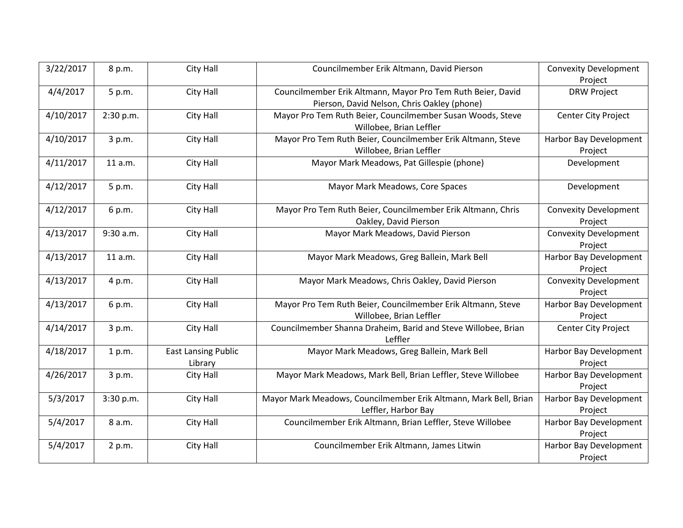| 3/22/2017 | 8 p.m.    | City Hall                  | Councilmember Erik Altmann, David Pierson                        | <b>Convexity Development</b> |
|-----------|-----------|----------------------------|------------------------------------------------------------------|------------------------------|
|           |           |                            |                                                                  | Project                      |
| 4/4/2017  | 5 p.m.    | City Hall                  | Councilmember Erik Altmann, Mayor Pro Tem Ruth Beier, David      | <b>DRW Project</b>           |
|           |           |                            | Pierson, David Nelson, Chris Oakley (phone)                      |                              |
| 4/10/2017 | 2:30 p.m. | City Hall                  | Mayor Pro Tem Ruth Beier, Councilmember Susan Woods, Steve       | Center City Project          |
|           |           |                            | Willobee, Brian Leffler                                          |                              |
| 4/10/2017 | 3 p.m.    | City Hall                  | Mayor Pro Tem Ruth Beier, Councilmember Erik Altmann, Steve      | Harbor Bay Development       |
|           |           |                            | Willobee, Brian Leffler                                          | Project                      |
| 4/11/2017 | 11 a.m.   | City Hall                  | Mayor Mark Meadows, Pat Gillespie (phone)                        | Development                  |
| 4/12/2017 | 5 p.m.    | City Hall                  | Mayor Mark Meadows, Core Spaces                                  | Development                  |
| 4/12/2017 | 6 p.m.    | City Hall                  | Mayor Pro Tem Ruth Beier, Councilmember Erik Altmann, Chris      | <b>Convexity Development</b> |
|           |           |                            | Oakley, David Pierson                                            | Project                      |
| 4/13/2017 | 9:30 a.m. | City Hall                  | Mayor Mark Meadows, David Pierson                                | <b>Convexity Development</b> |
|           |           |                            |                                                                  | Project                      |
| 4/13/2017 | 11 a.m.   | City Hall                  | Mayor Mark Meadows, Greg Ballein, Mark Bell                      | Harbor Bay Development       |
|           |           |                            |                                                                  | Project                      |
| 4/13/2017 | 4 p.m.    | City Hall                  | Mayor Mark Meadows, Chris Oakley, David Pierson                  | <b>Convexity Development</b> |
|           |           |                            |                                                                  | Project                      |
| 4/13/2017 | 6 p.m.    | City Hall                  | Mayor Pro Tem Ruth Beier, Councilmember Erik Altmann, Steve      | Harbor Bay Development       |
|           |           |                            | Willobee, Brian Leffler                                          | Project                      |
| 4/14/2017 | 3 p.m.    | City Hall                  | Councilmember Shanna Draheim, Barid and Steve Willobee, Brian    | Center City Project          |
|           |           |                            | Leffler                                                          |                              |
| 4/18/2017 | 1 p.m.    | <b>East Lansing Public</b> | Mayor Mark Meadows, Greg Ballein, Mark Bell                      | Harbor Bay Development       |
|           |           | Library                    |                                                                  | Project                      |
| 4/26/2017 | 3 p.m.    | City Hall                  | Mayor Mark Meadows, Mark Bell, Brian Leffler, Steve Willobee     | Harbor Bay Development       |
|           |           |                            |                                                                  | Project                      |
| 5/3/2017  | 3:30 p.m. | City Hall                  | Mayor Mark Meadows, Councilmember Erik Altmann, Mark Bell, Brian | Harbor Bay Development       |
|           |           |                            | Leffler, Harbor Bay                                              | Project                      |
| 5/4/2017  | 8 a.m.    | City Hall                  | Councilmember Erik Altmann, Brian Leffler, Steve Willobee        | Harbor Bay Development       |
|           |           |                            |                                                                  | Project                      |
| 5/4/2017  | 2 p.m.    | City Hall                  | Councilmember Erik Altmann, James Litwin                         | Harbor Bay Development       |
|           |           |                            |                                                                  | Project                      |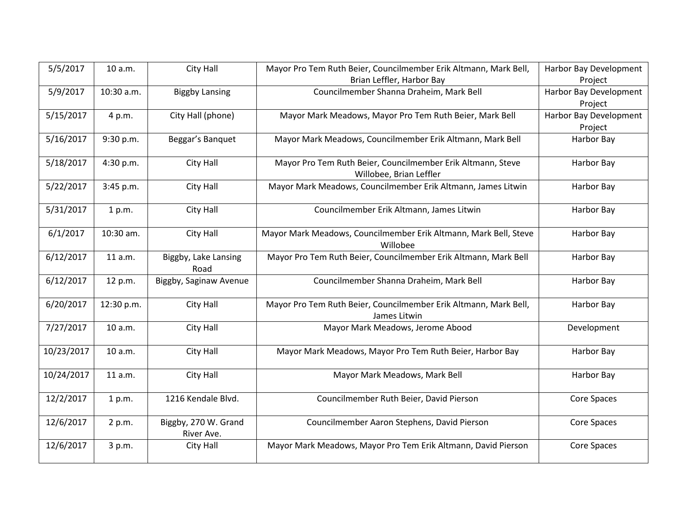| 5/5/2017   | 10 a.m.    | City Hall                          | Mayor Pro Tem Ruth Beier, Councilmember Erik Altmann, Mark Bell,                       | Harbor Bay Development |
|------------|------------|------------------------------------|----------------------------------------------------------------------------------------|------------------------|
|            |            |                                    | Brian Leffler, Harbor Bay                                                              | Project                |
| 5/9/2017   | 10:30 a.m. | <b>Biggby Lansing</b>              | Councilmember Shanna Draheim, Mark Bell                                                | Harbor Bay Development |
|            |            |                                    |                                                                                        | Project                |
| 5/15/2017  | 4 p.m.     | City Hall (phone)                  | Mayor Mark Meadows, Mayor Pro Tem Ruth Beier, Mark Bell                                | Harbor Bay Development |
|            |            |                                    |                                                                                        | Project                |
| 5/16/2017  | 9:30 p.m.  | Beggar's Banquet                   | Mayor Mark Meadows, Councilmember Erik Altmann, Mark Bell                              | Harbor Bay             |
| 5/18/2017  | 4:30 p.m.  | City Hall                          | Mayor Pro Tem Ruth Beier, Councilmember Erik Altmann, Steve<br>Willobee, Brian Leffler | Harbor Bay             |
| 5/22/2017  | 3:45 p.m.  | City Hall                          | Mayor Mark Meadows, Councilmember Erik Altmann, James Litwin                           | Harbor Bay             |
| 5/31/2017  | 1 p.m.     | City Hall                          | Councilmember Erik Altmann, James Litwin                                               | Harbor Bay             |
| 6/1/2017   | 10:30 am.  | City Hall                          | Mayor Mark Meadows, Councilmember Erik Altmann, Mark Bell, Steve<br>Willobee           | Harbor Bay             |
| 6/12/2017  | 11 a.m.    | Biggby, Lake Lansing<br>Road       | Mayor Pro Tem Ruth Beier, Councilmember Erik Altmann, Mark Bell                        | Harbor Bay             |
| 6/12/2017  | 12 p.m.    | Biggby, Saginaw Avenue             | Councilmember Shanna Draheim, Mark Bell                                                | Harbor Bay             |
| 6/20/2017  | 12:30 p.m. | City Hall                          | Mayor Pro Tem Ruth Beier, Councilmember Erik Altmann, Mark Bell,<br>James Litwin       | Harbor Bay             |
| 7/27/2017  | 10 a.m.    | City Hall                          | Mayor Mark Meadows, Jerome Abood                                                       | Development            |
| 10/23/2017 | 10 a.m.    | City Hall                          | Mayor Mark Meadows, Mayor Pro Tem Ruth Beier, Harbor Bay                               | Harbor Bay             |
| 10/24/2017 | 11 a.m.    | City Hall                          | Mayor Mark Meadows, Mark Bell                                                          | Harbor Bay             |
| 12/2/2017  | 1 p.m.     | 1216 Kendale Blvd.                 | Councilmember Ruth Beier, David Pierson                                                | <b>Core Spaces</b>     |
| 12/6/2017  | 2 p.m.     | Biggby, 270 W. Grand<br>River Ave. | Councilmember Aaron Stephens, David Pierson                                            | Core Spaces            |
| 12/6/2017  | 3 p.m.     | City Hall                          | Mayor Mark Meadows, Mayor Pro Tem Erik Altmann, David Pierson                          | Core Spaces            |
|            |            |                                    |                                                                                        |                        |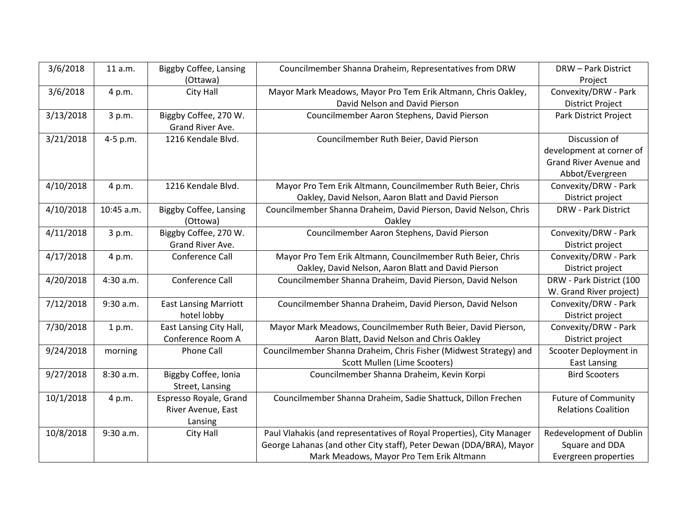| 3/6/2018  | 11 a.m.    | <b>Biggby Coffee, Lansing</b> | Councilmember Shanna Draheim, Representatives from DRW                | <b>DRW-Park District</b>   |
|-----------|------------|-------------------------------|-----------------------------------------------------------------------|----------------------------|
|           |            | (Ottawa)                      |                                                                       | Project                    |
| 3/6/2018  | 4 p.m.     | City Hall                     | Mayor Mark Meadows, Mayor Pro Tem Erik Altmann, Chris Oakley,         | Convexity/DRW - Park       |
|           |            |                               | David Nelson and David Pierson                                        | <b>District Project</b>    |
| 3/13/2018 | 3 p.m.     | Biggby Coffee, 270 W.         | Councilmember Aaron Stephens, David Pierson                           | Park District Project      |
|           |            | Grand River Ave.              |                                                                       |                            |
| 3/21/2018 | 4-5 p.m.   | 1216 Kendale Blvd.            | Councilmember Ruth Beier, David Pierson                               | Discussion of              |
|           |            |                               |                                                                       | development at corner of   |
|           |            |                               |                                                                       | Grand River Avenue and     |
|           |            |                               |                                                                       | Abbot/Evergreen            |
| 4/10/2018 | 4 p.m.     | 1216 Kendale Blvd.            | Mayor Pro Tem Erik Altmann, Councilmember Ruth Beier, Chris           | Convexity/DRW - Park       |
|           |            |                               | Oakley, David Nelson, Aaron Blatt and David Pierson                   | District project           |
| 4/10/2018 | 10:45 a.m. | <b>Biggby Coffee, Lansing</b> | Councilmember Shanna Draheim, David Pierson, David Nelson, Chris      | <b>DRW - Park District</b> |
|           |            | (Ottowa)                      | Oakley                                                                |                            |
| 4/11/2018 | 3 p.m.     | Biggby Coffee, 270 W.         | Councilmember Aaron Stephens, David Pierson                           | Convexity/DRW - Park       |
|           |            | Grand River Ave.              |                                                                       | District project           |
| 4/17/2018 | 4 p.m.     | Conference Call               | Mayor Pro Tem Erik Altmann, Councilmember Ruth Beier, Chris           | Convexity/DRW - Park       |
|           |            |                               | Oakley, David Nelson, Aaron Blatt and David Pierson                   | District project           |
| 4/20/2018 | 4:30 a.m.  | Conference Call               | Councilmember Shanna Draheim, David Pierson, David Nelson             | DRW - Park District (100   |
|           |            |                               |                                                                       | W. Grand River project)    |
| 7/12/2018 | 9:30 a.m.  | <b>East Lansing Marriott</b>  | Councilmember Shanna Draheim, David Pierson, David Nelson             | Convexity/DRW - Park       |
|           |            | hotel lobby                   |                                                                       | District project           |
| 7/30/2018 | 1 p.m.     | East Lansing City Hall,       | Mayor Mark Meadows, Councilmember Ruth Beier, David Pierson,          | Convexity/DRW - Park       |
|           |            | Conference Room A             | Aaron Blatt, David Nelson and Chris Oakley                            | District project           |
| 9/24/2018 | morning    | Phone Call                    | Councilmember Shanna Draheim, Chris Fisher (Midwest Strategy) and     | Scooter Deployment in      |
|           |            |                               | Scott Mullen (Lime Scooters)                                          | <b>East Lansing</b>        |
| 9/27/2018 | 8:30 a.m.  | Biggby Coffee, Ionia          | Councilmember Shanna Draheim, Kevin Korpi                             | <b>Bird Scooters</b>       |
|           |            | Street, Lansing               |                                                                       |                            |
| 10/1/2018 | 4 p.m.     | Espresso Royale, Grand        | Councilmember Shanna Draheim, Sadie Shattuck, Dillon Frechen          | <b>Future of Community</b> |
|           |            | River Avenue, East            |                                                                       | <b>Relations Coalition</b> |
|           |            | Lansing                       |                                                                       |                            |
| 10/8/2018 | 9:30 a.m.  | City Hall                     | Paul Vlahakis (and representatives of Royal Properties), City Manager | Redevelopment of Dublin    |
|           |            |                               | George Lahanas (and other City staff), Peter Dewan (DDA/BRA), Mayor   | Square and DDA             |
|           |            |                               | Mark Meadows, Mayor Pro Tem Erik Altmann                              | Evergreen properties       |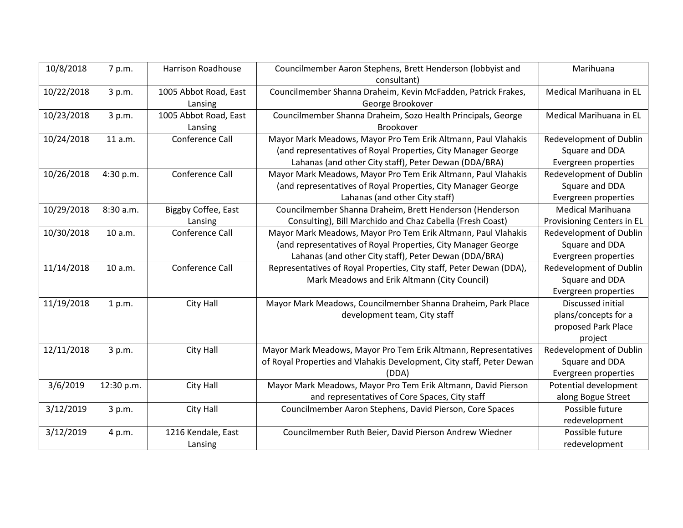| 10/8/2018  | 7 p.m.     | <b>Harrison Roadhouse</b> | Councilmember Aaron Stephens, Brett Henderson (lobbyist and           | Marihuana                      |
|------------|------------|---------------------------|-----------------------------------------------------------------------|--------------------------------|
|            |            |                           | consultant)                                                           |                                |
| 10/22/2018 | 3 p.m.     | 1005 Abbot Road, East     | Councilmember Shanna Draheim, Kevin McFadden, Patrick Frakes,         | Medical Marihuana in EL        |
|            |            | Lansing                   | George Brookover                                                      |                                |
| 10/23/2018 | 3 p.m.     | 1005 Abbot Road, East     | Councilmember Shanna Draheim, Sozo Health Principals, George          | Medical Marihuana in EL        |
|            |            | Lansing                   | Brookover                                                             |                                |
| 10/24/2018 | 11 a.m.    | Conference Call           | Mayor Mark Meadows, Mayor Pro Tem Erik Altmann, Paul Vlahakis         | Redevelopment of Dublin        |
|            |            |                           | (and representatives of Royal Properties, City Manager George         | Square and DDA                 |
|            |            |                           | Lahanas (and other City staff), Peter Dewan (DDA/BRA)                 | Evergreen properties           |
| 10/26/2018 | 4:30 p.m.  | Conference Call           | Mayor Mark Meadows, Mayor Pro Tem Erik Altmann, Paul Vlahakis         | Redevelopment of Dublin        |
|            |            |                           | (and representatives of Royal Properties, City Manager George         | Square and DDA                 |
|            |            |                           | Lahanas (and other City staff)                                        | Evergreen properties           |
| 10/29/2018 | 8:30 a.m.  | Biggby Coffee, East       | Councilmember Shanna Draheim, Brett Henderson (Henderson              | Medical Marihuana              |
|            |            | Lansing                   | Consulting), Bill Marchido and Chaz Cabella (Fresh Coast)             | Provisioning Centers in EL     |
| 10/30/2018 | 10 a.m.    | Conference Call           | Mayor Mark Meadows, Mayor Pro Tem Erik Altmann, Paul Vlahakis         | <b>Redevelopment of Dublin</b> |
|            |            |                           | (and representatives of Royal Properties, City Manager George         | Square and DDA                 |
|            |            |                           | Lahanas (and other City staff), Peter Dewan (DDA/BRA)                 | Evergreen properties           |
| 11/14/2018 | 10 a.m.    | Conference Call           | Representatives of Royal Properties, City staff, Peter Dewan (DDA),   | Redevelopment of Dublin        |
|            |            |                           | Mark Meadows and Erik Altmann (City Council)                          | Square and DDA                 |
|            |            |                           |                                                                       | Evergreen properties           |
| 11/19/2018 | 1 p.m.     | City Hall                 | Mayor Mark Meadows, Councilmember Shanna Draheim, Park Place          | Discussed initial              |
|            |            |                           | development team, City staff                                          | plans/concepts for a           |
|            |            |                           |                                                                       | proposed Park Place            |
|            |            |                           |                                                                       | project                        |
| 12/11/2018 | 3 p.m.     | City Hall                 | Mayor Mark Meadows, Mayor Pro Tem Erik Altmann, Representatives       | <b>Redevelopment of Dublin</b> |
|            |            |                           | of Royal Properties and Vlahakis Development, City staff, Peter Dewan | Square and DDA                 |
|            |            |                           | (DDA)                                                                 | Evergreen properties           |
| 3/6/2019   | 12:30 p.m. | City Hall                 | Mayor Mark Meadows, Mayor Pro Tem Erik Altmann, David Pierson         | Potential development          |
|            |            |                           | and representatives of Core Spaces, City staff                        | along Bogue Street             |
| 3/12/2019  | 3 p.m.     | City Hall                 | Councilmember Aaron Stephens, David Pierson, Core Spaces              | Possible future                |
|            |            |                           |                                                                       | redevelopment                  |
| 3/12/2019  | 4 p.m.     | 1216 Kendale, East        | Councilmember Ruth Beier, David Pierson Andrew Wiedner                | Possible future                |
|            |            | Lansing                   |                                                                       | redevelopment                  |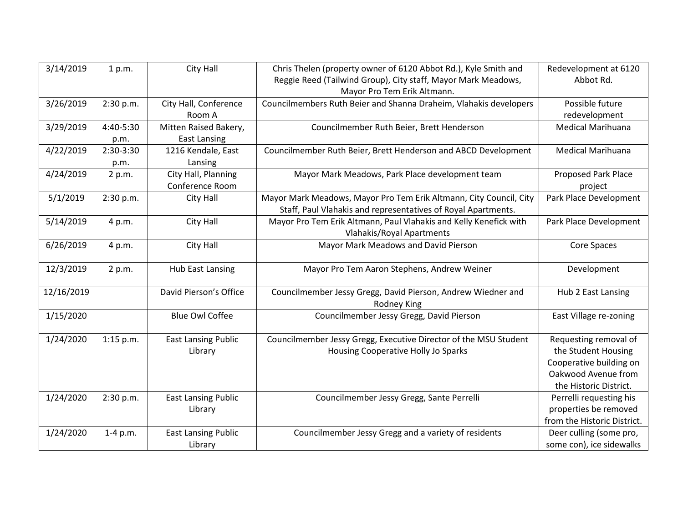| 3/14/2019  | 1 p.m.      | City Hall                  | Chris Thelen (property owner of 6120 Abbot Rd.), Kyle Smith and    | Redevelopment at 6120       |
|------------|-------------|----------------------------|--------------------------------------------------------------------|-----------------------------|
|            |             |                            | Reggie Reed (Tailwind Group), City staff, Mayor Mark Meadows,      | Abbot Rd.                   |
|            |             |                            | Mayor Pro Tem Erik Altmann.                                        |                             |
| 3/26/2019  | 2:30 p.m.   | City Hall, Conference      | Councilmembers Ruth Beier and Shanna Draheim, Vlahakis developers  | Possible future             |
|            |             | Room A                     |                                                                    | redevelopment               |
| 3/29/2019  | 4:40-5:30   | Mitten Raised Bakery,      | Councilmember Ruth Beier, Brett Henderson                          | <b>Medical Marihuana</b>    |
|            | p.m.        | <b>East Lansing</b>        |                                                                    |                             |
| 4/22/2019  | 2:30-3:30   | 1216 Kendale, East         | Councilmember Ruth Beier, Brett Henderson and ABCD Development     | <b>Medical Marihuana</b>    |
|            | p.m.        | Lansing                    |                                                                    |                             |
| 4/24/2019  | 2 p.m.      | City Hall, Planning        | Mayor Mark Meadows, Park Place development team                    | <b>Proposed Park Place</b>  |
|            |             | Conference Room            |                                                                    | project                     |
| 5/1/2019   | 2:30 p.m.   | City Hall                  | Mayor Mark Meadows, Mayor Pro Tem Erik Altmann, City Council, City | Park Place Development      |
|            |             |                            | Staff, Paul Vlahakis and representatives of Royal Apartments.      |                             |
| 5/14/2019  | 4 p.m.      | City Hall                  | Mayor Pro Tem Erik Altmann, Paul Vlahakis and Kelly Kenefick with  | Park Place Development      |
|            |             |                            | <b>Vlahakis/Royal Apartments</b>                                   |                             |
| 6/26/2019  | 4 p.m.      | City Hall                  | Mayor Mark Meadows and David Pierson                               | Core Spaces                 |
|            |             |                            |                                                                    |                             |
| 12/3/2019  | 2 p.m.      | <b>Hub East Lansing</b>    | Mayor Pro Tem Aaron Stephens, Andrew Weiner                        | Development                 |
|            |             |                            |                                                                    |                             |
| 12/16/2019 |             | David Pierson's Office     | Councilmember Jessy Gregg, David Pierson, Andrew Wiedner and       | Hub 2 East Lansing          |
|            |             |                            | Rodney King                                                        |                             |
| 1/15/2020  |             | <b>Blue Owl Coffee</b>     | Councilmember Jessy Gregg, David Pierson                           | East Village re-zoning      |
|            |             |                            |                                                                    |                             |
| 1/24/2020  | $1:15$ p.m. | <b>East Lansing Public</b> | Councilmember Jessy Gregg, Executive Director of the MSU Student   | Requesting removal of       |
|            |             | Library                    | Housing Cooperative Holly Jo Sparks                                | the Student Housing         |
|            |             |                            |                                                                    | Cooperative building on     |
|            |             |                            |                                                                    | Oakwood Avenue from         |
|            |             |                            |                                                                    | the Historic District.      |
| 1/24/2020  | 2:30 p.m.   | <b>East Lansing Public</b> | Councilmember Jessy Gregg, Sante Perrelli                          | Perrelli requesting his     |
|            |             | Library                    |                                                                    | properties be removed       |
|            |             |                            |                                                                    | from the Historic District. |
| 1/24/2020  | $1-4$ p.m.  | <b>East Lansing Public</b> | Councilmember Jessy Gregg and a variety of residents               | Deer culling (some pro,     |
|            |             | Library                    |                                                                    | some con), ice sidewalks    |